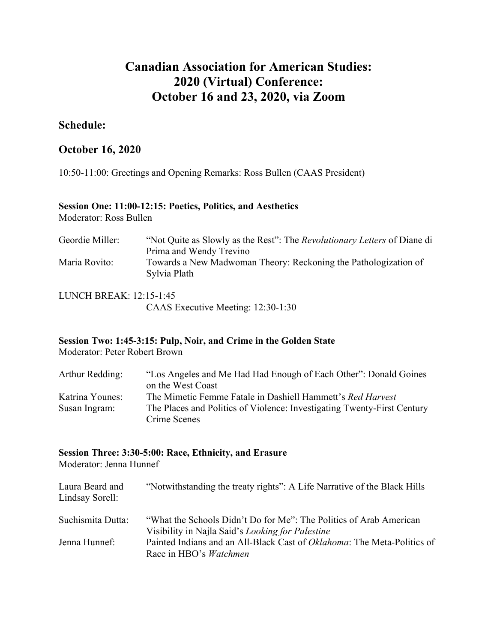# **Canadian Association for American Studies: 2020 (Virtual) Conference: October 16 and 23, 2020, via Zoom**

## **Schedule:**

## **October 16, 2020**

10:50-11:00: Greetings and Opening Remarks: Ross Bullen (CAAS President)

#### **Session One: 11:00-12:15: Poetics, Politics, and Aesthetics** Moderator: Ross Bullen

| Geordie Miller: | "Not Quite as Slowly as the Rest": The <i>Revolutionary Letters</i> of Diane di |
|-----------------|---------------------------------------------------------------------------------|
|                 | Prima and Wendy Trevino                                                         |
| Maria Rovito:   | Towards a New Madwoman Theory: Reckoning the Pathologization of                 |
|                 | Sylvia Plath                                                                    |
|                 |                                                                                 |

LUNCH BREAK: 12:15-1:45 CAAS Executive Meeting: 12:30-1:30

# **Session Two: 1:45-3:15: Pulp, Noir, and Crime in the Golden State**

Moderator: Peter Robert Brown

| Arthur Redding: | "Los Angeles and Me Had Had Enough of Each Other": Donald Goines        |
|-----------------|-------------------------------------------------------------------------|
|                 | on the West Coast                                                       |
| Katrina Younes: | The Mimetic Femme Fatale in Dashiell Hammett's Red Harvest              |
| Susan Ingram:   | The Places and Politics of Violence: Investigating Twenty-First Century |
|                 | Crime Scenes                                                            |

## **Session Three: 3:30-5:00: Race, Ethnicity, and Erasure**

Moderator: Jenna Hunnef

| Laura Beard and<br>Lindsay Sorell: | "Notwithstanding the treaty rights": A Life Narrative of the Black Hills                                 |
|------------------------------------|----------------------------------------------------------------------------------------------------------|
| Suchismita Dutta:                  | "What the Schools Didn't Do for Me": The Politics of Arab American                                       |
|                                    | Visibility in Najla Said's Looking for Palestine                                                         |
| Jenna Hunnef:                      | Painted Indians and an All-Black Cast of Oklahoma: The Meta-Politics of<br>Race in HBO's <i>Watchmen</i> |